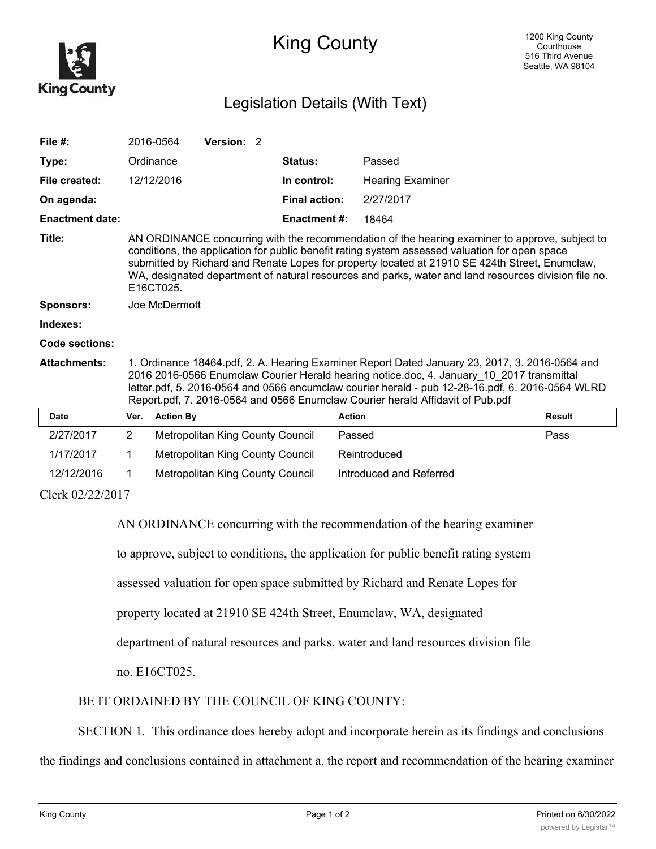

## King County

## Legislation Details (With Text)

| File $#$ :             |                                                                                                                                                                                                                                                                                                                                                                                                                         | 2016-0564        | Version: 2                       |  |                      |                         |               |
|------------------------|-------------------------------------------------------------------------------------------------------------------------------------------------------------------------------------------------------------------------------------------------------------------------------------------------------------------------------------------------------------------------------------------------------------------------|------------------|----------------------------------|--|----------------------|-------------------------|---------------|
| Type:                  |                                                                                                                                                                                                                                                                                                                                                                                                                         | Ordinance        |                                  |  | Status:              | Passed                  |               |
| File created:          |                                                                                                                                                                                                                                                                                                                                                                                                                         | 12/12/2016       |                                  |  | In control:          | <b>Hearing Examiner</b> |               |
| On agenda:             |                                                                                                                                                                                                                                                                                                                                                                                                                         |                  |                                  |  | <b>Final action:</b> | 2/27/2017               |               |
| <b>Enactment date:</b> |                                                                                                                                                                                                                                                                                                                                                                                                                         |                  |                                  |  | <b>Enactment #:</b>  | 18464                   |               |
| Title:                 | AN ORDINANCE concurring with the recommendation of the hearing examiner to approve, subject to<br>conditions, the application for public benefit rating system assessed valuation for open space<br>submitted by Richard and Renate Lopes for property located at 21910 SE 424th Street, Enumclaw,<br>WA, designated department of natural resources and parks, water and land resources division file no.<br>E16CT025. |                  |                                  |  |                      |                         |               |
| Sponsors:              |                                                                                                                                                                                                                                                                                                                                                                                                                         | Joe McDermott    |                                  |  |                      |                         |               |
| Indexes:               |                                                                                                                                                                                                                                                                                                                                                                                                                         |                  |                                  |  |                      |                         |               |
| Code sections:         |                                                                                                                                                                                                                                                                                                                                                                                                                         |                  |                                  |  |                      |                         |               |
| <b>Attachments:</b>    | 1. Ordinance 18464.pdf, 2. A. Hearing Examiner Report Dated January 23, 2017, 3. 2016-0564 and<br>2016 2016-0566 Enumclaw Courier Herald hearing notice.doc, 4. January 10 2017 transmittal<br>letter.pdf, 5. 2016-0564 and 0566 encumclaw courier herald - pub 12-28-16.pdf, 6. 2016-0564 WLRD<br>Report.pdf, 7. 2016-0564 and 0566 Enumclaw Courier herald Affidavit of Pub.pdf                                       |                  |                                  |  |                      |                         |               |
| <b>Date</b>            | Ver.                                                                                                                                                                                                                                                                                                                                                                                                                    | <b>Action By</b> |                                  |  |                      | <b>Action</b>           | <b>Result</b> |
| 2/27/2017              | $\overline{2}$                                                                                                                                                                                                                                                                                                                                                                                                          |                  | Metropolitan King County Council |  |                      | Passed                  | Pass          |
| 1/17/2017              | 1                                                                                                                                                                                                                                                                                                                                                                                                                       |                  | Metropolitan King County Council |  |                      | Reintroduced            |               |
| 12/12/2016             | 1                                                                                                                                                                                                                                                                                                                                                                                                                       |                  | Metropolitan King County Council |  |                      | Introduced and Referred |               |
| Clerk 02/22/2017       |                                                                                                                                                                                                                                                                                                                                                                                                                         |                  |                                  |  |                      |                         |               |

AN ORDINANCE concurring with the recommendation of the hearing examiner

to approve, subject to conditions, the application for public benefit rating system

assessed valuation for open space submitted by Richard and Renate Lopes for

property located at 21910 SE 424th Street, Enumclaw, WA, designated

department of natural resources and parks, water and land resources division file

no. E16CT025.

BE IT ORDAINED BY THE COUNCIL OF KING COUNTY:

SECTION 1. This ordinance does hereby adopt and incorporate herein as its findings and conclusions

the findings and conclusions contained in attachment a, the report and recommendation of the hearing examiner